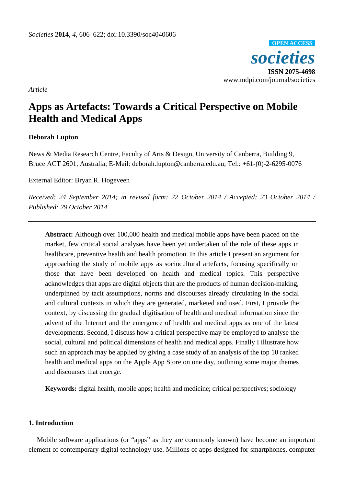*societies* **ISSN 2075-4698** www.mdpi.com/journal/societies **OPEN ACCESS**

*Article*

# **Apps as Artefacts: Towards a Critical Perspective on Mobile Health and Medical Apps**

## **Deborah Lupton**

News & Media Research Centre, Faculty of Arts & Design, University of Canberra, Building 9, Bruce ACT 2601, Australia; E-Mail: deborah.lupton@canberra.edu.au; Tel.: +61-(0)-2-6295-0076

External Editor: Bryan R. Hogeveen

*Received: 24 September 2014; in revised form: 22 October 2014 / Accepted: 23 October 2014 / Published: 29 October 2014*

**Abstract:** Although over 100,000 health and medical mobile apps have been placed on the market, few critical social analyses have been yet undertaken of the role of these apps in healthcare, preventive health and health promotion. In this article I present an argument for approaching the study of mobile apps as sociocultural artefacts, focusing specifically on those that have been developed on health and medical topics. This perspective acknowledges that apps are digital objects that are the products of human decision-making, underpinned by tacit assumptions, norms and discourses already circulating in the social and cultural contexts in which they are generated, marketed and used. First, I provide the context, by discussing the gradual digitisation of health and medical information since the advent of the Internet and the emergence of health and medical apps as one of the latest developments. Second, I discuss how a critical perspective may be employed to analyse the social, cultural and political dimensions of health and medical apps. Finally I illustrate how such an approach may be applied by giving a case study of an analysis of the top 10 ranked health and medical apps on the Apple App Store on one day, outlining some major themes and discourses that emerge.

**Keywords:** digital health; mobile apps; health and medicine; critical perspectives; sociology

## **1. Introduction**

Mobile software applications (or "apps" as they are commonly known) have become an important element of contemporary digital technology use. Millions of apps designed for smartphones, computer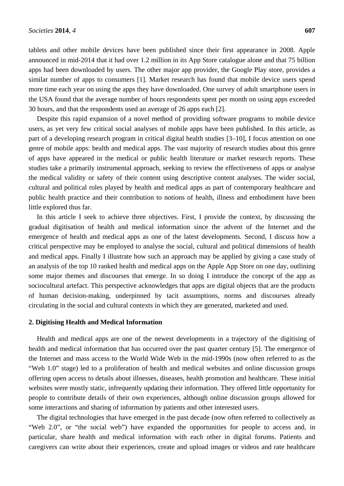tablets and other mobile devices have been published since their first appearance in 2008. Apple announced in mid-2014 that it had over 1.2 million in its App Store catalogue alone and that 75 billion apps had been downloaded by users. The other major app provider, the Google Play store, provides a similar number of apps to consumers [1]. Market research has found that mobile device users spend more time each year on using the apps they have downloaded. One survey of adult smartphone users in the USA found that the average number of hours respondents spent per month on using apps exceeded 30 hours, and that the respondents used an average of 26 apps each [2].

Despite this rapid expansion of a novel method of providing software programs to mobile device users, as yet very few critical social analyses of mobile apps have been published. In this article, as part of a developing research program in critical digital health studies [3–10], I focus attention on one genre of mobile apps: health and medical apps. The vast majority of research studies about this genre of apps have appeared in the medical or public health literature or market research reports. These studies take a primarily instrumental approach, seeking to review the effectiveness of apps or analyse the medical validity or safety of their content using descriptive content analyses. The wider social, cultural and political roles played by health and medical apps as part of contemporary healthcare and public health practice and their contribution to notions of health, illness and embodiment have been little explored thus far.

In this article I seek to achieve three objectives. First, I provide the context, by discussing the gradual digitisation of health and medical information since the advent of the Internet and the emergence of health and medical apps as one of the latest developments. Second, I discuss how a critical perspective may be employed to analyse the social, cultural and political dimensions of health and medical apps. Finally I illustrate how such an approach may be applied by giving a case study of an analysis of the top 10 ranked health and medical apps on the Apple App Store on one day, outlining some major themes and discourses that emerge. In so doing I introduce the concept of the app as sociocultural artefact. This perspective acknowledges that apps are digital objects that are the products of human decision-making, underpinned by tacit assumptions, norms and discourses already circulating in the social and cultural contexts in which they are generated, marketed and used.

#### **2. Digitising Health and Medical Information**

Health and medical apps are one of the newest developments in a trajectory of the digitising of health and medical information that has occurred over the past quarter century [5]. The emergence of the Internet and mass access to the World Wide Web in the mid-1990s (now often referred to as the "Web 1.0" stage) led to a proliferation of health and medical websites and online discussion groups offering open access to details about illnesses, diseases, health promotion and healthcare. These initial websites were mostly static, infrequently updating their information. They offered little opportunity for people to contribute details of their own experiences, although online discussion groups allowed for some interactions and sharing of information by patients and other interested users.

The digital technologies that have emerged in the past decade (now often referred to collectively as "Web 2.0", or "the social web") have expanded the opportunities for people to access and, in particular, share health and medical information with each other in digital forums. Patients and caregivers can write about their experiences, create and upload images or videos and rate healthcare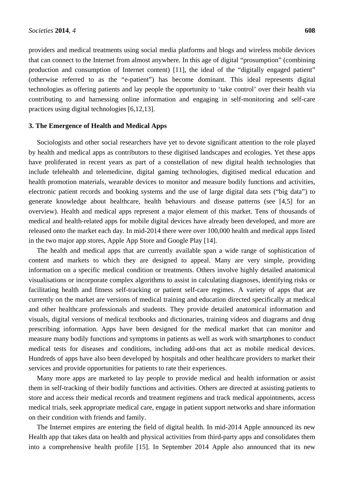providers and medical treatments using social media platforms and blogs and wireless mobile devices that can connect to the Internet from almost anywhere. In this age of digital "prosumption" (combining production and consumption of Internet content) [11], the ideal of the "digitally engaged patient" (otherwise referred to as the "e-patient") has become dominant. This ideal represents digital technologies as offering patients and lay people the opportunity to 'take control' over their health via contributing to and harnessing online information and engaging in self-monitoring and self-care practices using digital technologies [6,12,13].

## **3. The Emergence of Health and Medical Apps**

Sociologists and other social researchers have yet to devote significant attention to the role played by health and medical apps as contributors to these digitised landscapes and ecologies. Yet these apps have proliferated in recent years as part of a constellation of new digital health technologies that include telehealth and telemedicine, digital gaming technologies, digitised medical education and health promotion materials, wearable devices to monitor and measure bodily functions and activities, electronic patient records and booking systems and the use of large digital data sets ("big data") to generate knowledge about healthcare, health behaviours and disease patterns (see [4,5] for an overview). Health and medical apps represent a major element of this market. Tens of thousands of medical and health-related apps for mobile digital devices have already been developed, and more are released onto the market each day. In mid-2014 there were over 100,000 health and medical apps listed in the two major app stores, Apple App Store and Google Play [14].

The health and medical apps that are currently available span a wide range of sophistication of content and markets to which they are designed to appeal. Many are very simple, providing information on a specific medical condition or treatments. Others involve highly detailed anatomical visualisations or incorporate complex algorithms to assist in calculating diagnoses, identifying risks or facilitating health and fitness self-tracking or patient self-care regimes. A variety of apps that are currently on the market are versions of medical training and education directed specifically at medical and other healthcare professionals and students. They provide detailed anatomical information and visuals, digital versions of medical textbooks and dictionaries, training videos and diagrams and drug prescribing information. Apps have been designed for the medical market that can monitor and measure many bodily functions and symptoms in patients as well as work with smartphones to conduct medical tests for diseases and conditions, including add-ons that act as mobile medical devices. Hundreds of apps have also been developed by hospitals and other healthcare providers to market their services and provide opportunities for patients to rate their experiences.

Many more apps are marketed to lay people to provide medical and health information or assist them in self-tracking of their bodily functions and activities. Others are directed at assisting patients to store and access their medical records and treatment regimens and track medical appointments, access medical trials, seek appropriate medical care, engage in patient support networks and share information on their condition with friends and family.

The Internet empires are entering the field of digital health. In mid-2014 Apple announced its new Health app that takes data on health and physical activities from third-party apps and consolidates them into a comprehensive health profile [15]. In September 2014 Apple also announced that its new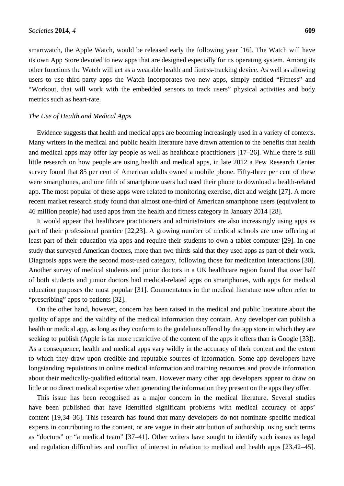smartwatch, the Apple Watch, would be released early the following year [16]. The Watch will have its own App Store devoted to new apps that are designed especially for its operating system. Among its other functions the Watch will act as a wearable health and fitness-tracking device. As well as allowing users to use third-party apps the Watch incorporates two new apps, simply entitled "Fitness" and "Workout, that will work with the embedded sensors to track users" physical activities and body metrics such as heart-rate.

## *The Use of Health and Medical Apps*

Evidence suggests that health and medical apps are becoming increasingly used in a variety of contexts. Many writers in the medical and public health literature have drawn attention to the benefits that health and medical apps may offer lay people as well as healthcare practitioners [17–26]. While there is still little research on how people are using health and medical apps, in late 2012 a Pew Research Center survey found that 85 per cent of American adults owned a mobile phone. Fifty-three per cent of these were smartphones, and one fifth of smartphone users had used their phone to download a health-related app. The most popular of these apps were related to monitoring exercise, diet and weight [27]. A more recent market research study found that almost one-third of American smartphone users (equivalent to 46 million people) had used apps from the health and fitness category in January 2014 [28].

It would appear that healthcare practitioners and administrators are also increasingly using apps as part of their professional practice [22,23]. A growing number of medical schools are now offering at least part of their education via apps and require their students to own a tablet computer [29]. In one study that surveyed American doctors, more than two thirds said that they used apps as part of their work. Diagnosis apps were the second most-used category, following those for medication interactions [30]. Another survey of medical students and junior doctors in a UK healthcare region found that over half of both students and junior doctors had medical-related apps on smartphones, with apps for medical education purposes the most popular [31]. Commentators in the medical literature now often refer to "prescribing" apps to patients [32].

On the other hand, however, concern has been raised in the medical and public literature about the quality of apps and the validity of the medical information they contain. Any developer can publish a health or medical app, as long as they conform to the guidelines offered by the app store in which they are seeking to publish (Apple is far more restrictive of the content of the apps it offers than is Google [33]). As a consequence, health and medical apps vary wildly in the accuracy of their content and the extent to which they draw upon credible and reputable sources of information. Some app developers have longstanding reputations in online medical information and training resources and provide information about their medically-qualified editorial team. However many other app developers appear to draw on little or no direct medical expertise when generating the information they present on the apps they offer.

This issue has been recognised as a major concern in the medical literature. Several studies have been published that have identified significant problems with medical accuracy of apps' content [19,34–36]. This research has found that many developers do not nominate specific medical experts in contributing to the content, or are vague in their attribution of authorship, using such terms as "doctors" or "a medical team" [37–41]. Other writers have sought to identify such issues as legal and regulation difficulties and conflict of interest in relation to medical and health apps [23,42–45].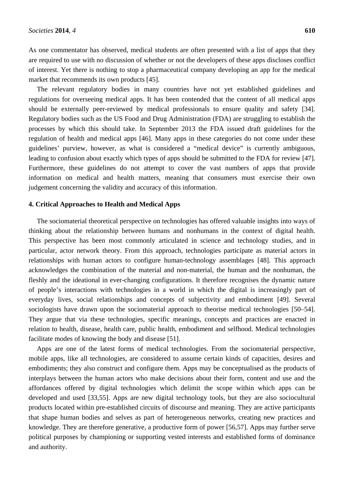As one commentator has observed, medical students are often presented with a list of apps that they are required to use with no discussion of whether or not the developers of these apps discloses conflict of interest. Yet there is nothing to stop a pharmaceutical company developing an app for the medical market that recommends its own products [45].

The relevant regulatory bodies in many countries have not yet established guidelines and regulations for overseeing medical apps. It has been contended that the content of all medical apps should be externally peer-reviewed by medical professionals to ensure quality and safety [34]. Regulatory bodies such as the US Food and Drug Administration (FDA) are struggling to establish the processes by which this should take. In September 2013 the FDA issued draft guidelines for the regulation of health and medical apps [46]. Many apps in these categories do not come under these guidelines' purview, however, as what is considered a "medical device" is currently ambiguous, leading to confusion about exactly which types of apps should be submitted to the FDA for review [47]. Furthermore, these guidelines do not attempt to cover the vast numbers of apps that provide information on medical and health matters, meaning that consumers must exercise their own judgement concerning the validity and accuracy of this information.

## **4. Critical Approaches to Health and Medical Apps**

The sociomaterial theoretical perspective on technologies has offered valuable insights into ways of thinking about the relationship between humans and nonhumans in the context of digital health. This perspective has been most commonly articulated in science and technology studies, and in particular, actor network theory. From this approach, technologies participate as material actors in relationships with human actors to configure human-technology assemblages [48]. This approach acknowledges the combination of the material and non-material, the human and the nonhuman, the fleshly and the ideational in ever-changing configurations. It therefore recognises the dynamic nature of people's interactions with technologies in a world in which the digital is increasingly part of everyday lives, social relationships and concepts of subjectivity and embodiment [49]. Several sociologists have drawn upon the sociomaterial approach to theorise medical technologies [50–54]. They argue that via these technologies, specific meanings, concepts and practices are enacted in relation to health, disease, health care, public health, embodiment and selfhood. Medical technologies facilitate modes of knowing the body and disease [51].

Apps are one of the latest forms of medical technologies. From the sociomaterial perspective, mobile apps, like all technologies, are considered to assume certain kinds of capacities, desires and embodiments; they also construct and configure them. Apps may be conceptualised as the products of interplays between the human actors who make decisions about their form, content and use and the affordances offered by digital technologies which delimit the scope within which apps can be developed and used [33,55]. Apps are new digital technology tools, but they are also sociocultural products located within pre-established circuits of discourse and meaning. They are active participants that shape human bodies and selves as part of heterogeneous networks, creating new practices and knowledge. They are therefore generative, a productive form of power [56,57]. Apps may further serve political purposes by championing or supporting vested interests and established forms of dominance and authority.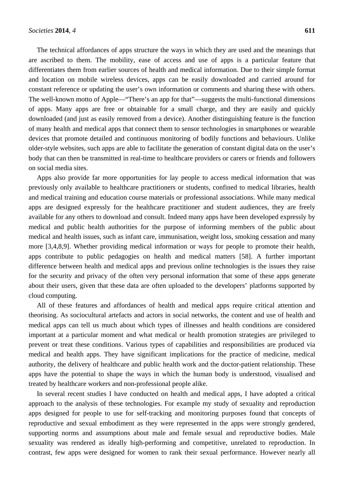The technical affordances of apps structure the ways in which they are used and the meanings that are ascribed to them. The mobility, ease of access and use of apps is a particular feature that differentiates them from earlier sources of health and medical information. Due to their simple format and location on mobile wireless devices, apps can be easily downloaded and carried around for constant reference or updating the user's own information or comments and sharing these with others. The well-known motto of Apple—"There's an app for that"—suggests the multi-functional dimensions of apps. Many apps are free or obtainable for a small charge, and they are easily and quickly downloaded (and just as easily removed from a device). Another distinguishing feature is the function of many health and medical apps that connect them to sensor technologies in smartphones or wearable devices that promote detailed and continuous monitoring of bodily functions and behaviours. Unlike older-style websites, such apps are able to facilitate the generation of constant digital data on the user's body that can then be transmitted in real-time to healthcare providers or carers or friends and followers on social media sites.

Apps also provide far more opportunities for lay people to access medical information that was previously only available to healthcare practitioners or students, confined to medical libraries, health and medical training and education course materials or professional associations. While many medical apps are designed expressly for the healthcare practitioner and student audiences, they are freely available for any others to download and consult. Indeed many apps have been developed expressly by medical and public health authorities for the purpose of informing members of the public about medical and health issues, such as infant care, immunisation, weight loss, smoking cessation and many more [3,4,8,9]. Whether providing medical information or ways for people to promote their health, apps contribute to public pedagogies on health and medical matters [58]. A further important difference between health and medical apps and previous online technologies is the issues they raise for the security and privacy of the often very personal information that some of these apps generate about their users, given that these data are often uploaded to the developers' platforms supported by cloud computing.

All of these features and affordances of health and medical apps require critical attention and theorising. As sociocultural artefacts and actors in social networks, the content and use of health and medical apps can tell us much about which types of illnesses and health conditions are considered important at a particular moment and what medical or health promotion strategies are privileged to prevent or treat these conditions. Various types of capabilities and responsibilities are produced via medical and health apps. They have significant implications for the practice of medicine, medical authority, the delivery of healthcare and public health work and the doctor-patient relationship. These apps have the potential to shape the ways in which the human body is understood, visualised and treated by healthcare workers and non-professional people alike.

In several recent studies I have conducted on health and medical apps, I have adopted a critical approach to the analysis of these technologies. For example my study of sexuality and reproduction apps designed for people to use for self-tracking and monitoring purposes found that concepts of reproductive and sexual embodiment as they were represented in the apps were strongly gendered, supporting norms and assumptions about male and female sexual and reproductive bodies. Male sexuality was rendered as ideally high-performing and competitive, unrelated to reproduction. In contrast, few apps were designed for women to rank their sexual performance. However nearly all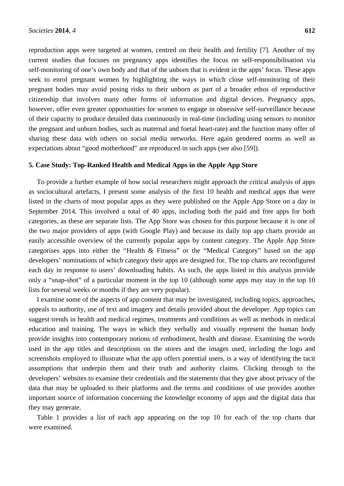reproduction apps were targeted at women, centred on their health and fertility [7]. Another of my current studies that focuses on pregnancy apps identifies the focus on self-responsibilisation via self-monitoring of one's own body and that of the unborn that is evident in the apps' focus. These apps seek to enrol pregnant women by highlighting the ways in which close self-monitoring of their pregnant bodies may avoid posing risks to their unborn as part of a broader ethos of reproductive citizenship that involves many other forms of information and digital devices. Pregnancy apps, however, offer even greater opportunities for women to engage in obsessive self-surveillance because of their capacity to produce detailed data continuously in real-time (including using sensors to monitor the pregnant and unborn bodies, such as maternal and foetal heart-rate) and the function many offer of sharing these data with others on social media networks. Here again gendered norms as well as expectations about "good motherhood" are reproduced in such apps (see also [59]).

## **5. Case Study: Top-Ranked Health and Medical Apps in the Apple App Store**

To provide a further example of how social researchers might approach the critical analysis of apps as sociocultural artefacts, I present some analysis of the first 10 health and medical apps that were listed in the charts of most popular apps as they were published on the Apple App Store on a day in September 2014. This involved a total of 40 apps, including both the paid and free apps for both categories, as these are separate lists. The App Store was chosen for this purpose because it is one of the two major providers of apps (with Google Play) and because its daily top app charts provide an easily accessible overview of the currently popular apps by content category. The Apple App Store categorises apps into either the "Health & Fitness" or the "Medical Category" based on the app developers' nominations of which category their apps are designed for. The top charts are reconfigured each day in response to users' downloading habits. As such, the apps listed in this analysis provide only a "snap-shot" of a particular moment in the top 10 (although some apps may stay in the top 10 lists for several weeks or months if they are very popular).

I examine some of the aspects of app content that may be investigated, including topics, approaches, appeals to authority, use of text and imagery and details provided about the developer. App topics can suggest trends in health and medical regimes, treatments and conditions as well as methods in medical education and training. The ways in which they verbally and visually represent the human body provide insights into contemporary notions of embodiment, health and disease. Examining the words used in the app titles and descriptions on the stores and the images used, including the logo and screenshots employed to illustrate what the app offers potential users, is a way of identifying the tacit assumptions that underpin them and their truth and authority claims. Clicking through to the developers' websites to examine their credentials and the statements that they give about privacy of the data that may be uploaded to their platforms and the terms and conditions of use provides another important source of information concerning the knowledge economy of apps and the digital data that they may generate.

Table 1 provides a list of each app appearing on the top 10 for each of the top charts that were examined.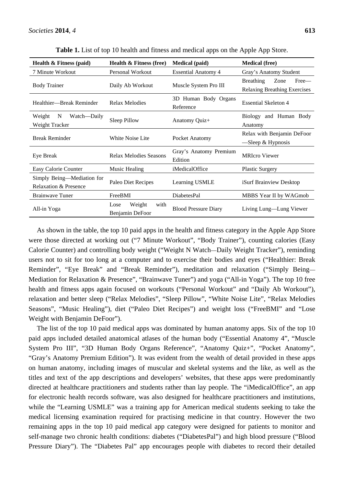| <b>Health &amp; Fitness (paid)</b>   | <b>Health &amp; Fitness (free)</b> | <b>Medical</b> (paid)       | <b>Medical</b> (free)               |
|--------------------------------------|------------------------------------|-----------------------------|-------------------------------------|
| 7 Minute Workout                     | Personal Workout                   | <b>Essential Anatomy 4</b>  | Gray's Anatomy Student              |
| <b>Body Trainer</b>                  | Daily Ab Workout                   | Muscle System Pro III       | <b>Breathing</b><br>Free—<br>Zone   |
|                                      |                                    |                             | <b>Relaxing Breathing Exercises</b> |
| Healthier—Break Reminder             | Relax Melodies                     | 3D Human Body Organs        | <b>Essential Skeleton 4</b>         |
|                                      |                                    | Reference                   |                                     |
| Weight<br>$\mathbf N$<br>Watch—Daily | Sleep Pillow                       | Anatomy Quiz+               | Biology and Human Body              |
| Weight Tracker                       |                                    |                             | Anatomy                             |
| <b>Break Reminder</b>                | White Noise Lite                   | Pocket Anatomy              | Relax with Benjamin DeFoor          |
|                                      |                                    |                             | $-$ Sleep & Hypnosis                |
| Eye Break                            | Relax Melodies Seasons             | Gray's Anatomy Premium      | <b>MRIcro Viewer</b>                |
|                                      |                                    | Edition                     |                                     |
| Easy Calorie Counter                 | Music Healing                      | <i>iMedicalOffice</i>       | <b>Plastic Surgery</b>              |
| Simply Being-Mediation for           | Paleo Diet Recipes                 | Learning USMLE              | iSurf Brainview Desktop             |
| <b>Relaxation &amp; Presence</b>     |                                    |                             |                                     |
| <b>Brainwave Tuner</b>               | FreeBMI                            | <b>DiabetesPal</b>          | MBBS Year II by WAGmob              |
| All-in Yoga                          | Weight<br>Lose<br>with             | <b>Blood Pressure Diary</b> | Living Lung—Lung Viewer             |
|                                      | Benjamin DeFoor                    |                             |                                     |

**Table 1.** List of top 10 health and fitness and medical apps on the Apple App Store.

As shown in the table, the top 10 paid apps in the health and fitness category in the Apple App Store were those directed at working out ("7 Minute Workout", "Body Trainer"), counting calories (Easy Calorie Counter) and controlling body weight ("Weight N Watch—Daily Weight Tracker"), reminding users not to sit for too long at a computer and to exercise their bodies and eyes ("Healthier: Break Reminder", "Eye Break" and "Break Reminder"), meditation and relaxation ("Simply Being— Mediation for Relaxation & Presence", "Brainwave Tuner") and yoga ("All-in Yoga"). The top 10 free health and fitness apps again focused on workouts ("Personal Workout" and "Daily Ab Workout"), relaxation and better sleep ("Relax Melodies", "Sleep Pillow", "White Noise Lite", "Relax Melodies Seasons", "Music Healing"), diet ("Paleo Diet Recipes") and weight loss ("FreeBMI" and "Lose Weight with Benjamin DeFoor").

The list of the top 10 paid medical apps was dominated by human anatomy apps. Six of the top 10 paid apps included detailed anatomical atlases of the human body ("Essential Anatomy 4", "Muscle System Pro III", "3D Human Body Organs Reference", "Anatomy Quiz+", "Pocket Anatomy", "Gray's Anatomy Premium Edition"). It was evident from the wealth of detail provided in these apps on human anatomy, including images of muscular and skeletal systems and the like, as well as the titles and text of the app descriptions and developers' websites, that these apps were predominantly directed at healthcare practitioners and students rather than lay people. The "iMedicalOffice", an app for electronic health records software, was also designed for healthcare practitioners and institutions, while the "Learning USMLE" was a training app for American medical students seeking to take the medical licensing examination required for practising medicine in that country. However the two remaining apps in the top 10 paid medical app category were designed for patients to monitor and self-manage two chronic health conditions: diabetes ("DiabetesPal") and high blood pressure ("Blood Pressure Diary"). The "Diabetes Pal" app encourages people with diabetes to record their detailed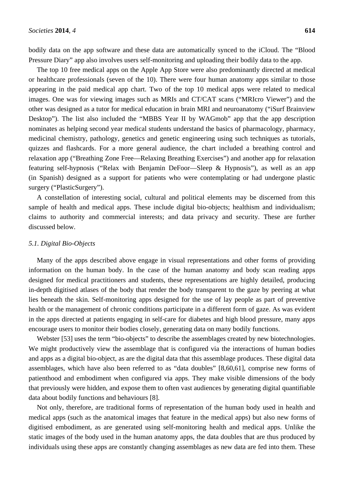bodily data on the app software and these data are automatically synced to the iCloud. The "Blood Pressure Diary" app also involves users self-monitoring and uploading their bodily data to the app.

The top 10 free medical apps on the Apple App Store were also predominantly directed at medical or healthcare professionals (seven of the 10). There were four human anatomy apps similar to those appearing in the paid medical app chart. Two of the top 10 medical apps were related to medical images. One was for viewing images such as MRIs and CT/CAT scans ("MRIcro Viewer") and the other was designed as a tutor for medical education in brain MRI and neuroanatomy ("iSurf Brainview Desktop"). The list also included the "MBBS Year II by WAGmob" app that the app description nominates as helping second year medical students understand the basics of pharmacology, pharmacy, medicinal chemistry, pathology, genetics and genetic engineering using such techniques as tutorials, quizzes and flashcards. For a more general audience, the chart included a breathing control and relaxation app ("Breathing Zone Free—Relaxing Breathing Exercises") and another app for relaxation featuring self-hypnosis ("Relax with Benjamin DeFoor—Sleep & Hypnosis"), as well as an app (in Spanish) designed as a support for patients who were contemplating or had undergone plastic surgery ("PlasticSurgery").

A constellation of interesting social, cultural and political elements may be discerned from this sample of health and medical apps. These include digital bio-objects; healthism and individualism; claims to authority and commercial interests; and data privacy and security. These are further discussed below.

# *5.1. Digital Bio-Objects*

Many of the apps described above engage in visual representations and other forms of providing information on the human body. In the case of the human anatomy and body scan reading apps designed for medical practitioners and students, these representations are highly detailed, producing in-depth digitised atlases of the body that render the body transparent to the gaze by peering at what lies beneath the skin. Self-monitoring apps designed for the use of lay people as part of preventive health or the management of chronic conditions participate in a different form of gaze. As was evident in the apps directed at patients engaging in self-care for diabetes and high blood pressure, many apps encourage users to monitor their bodies closely, generating data on many bodily functions.

Webster [53] uses the term "bio-objects" to describe the assemblages created by new biotechnologies. We might productively view the assemblage that is configured via the interactions of human bodies and apps as a digital bio-object, as are the digital data that this assemblage produces. These digital data assemblages, which have also been referred to as "data doubles" [8,60,61], comprise new forms of patienthood and embodiment when configured via apps. They make visible dimensions of the body that previously were hidden, and expose them to often vast audiences by generating digital quantifiable data about bodily functions and behaviours [8].

Not only, therefore, are traditional forms of representation of the human body used in health and medical apps (such as the anatomical images that feature in the medical apps) but also new forms of digitised embodiment, as are generated using self-monitoring health and medical apps. Unlike the static images of the body used in the human anatomy apps, the data doubles that are thus produced by individuals using these apps are constantly changing assemblages as new data are fed into them. These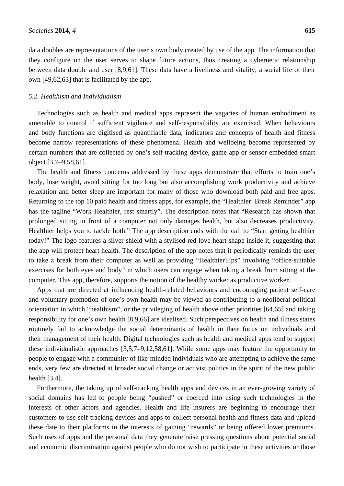data doubles are representations of the user's own body created by use of the app. The information that they configure on the user serves to shape future actions, thus creating a cybernetic relationship between data double and user [8,9,61]. These data have a liveliness and vitality, a social life of their own [49,62,63] that is facilitated by the app.

### *5.2. Healthism and Individualism*

Technologies such as health and medical apps represent the vagaries of human embodiment as amenable to control if sufficient vigilance and self-responsibility are exercised. When behaviours and body functions are digitised as quantifiable data, indicators and concepts of health and fitness become narrow representations of these phenomena. Health and wellbeing become represented by certain numbers that are collected by one's self-tracking device, game app or sensor-embedded smart object [3,7–9,58,61].

The health and fitness concerns addressed by these apps demonstrate that efforts to train one's body, lose weight, avoid sitting for too long but also accomplishing work productivity and achieve relaxation and better sleep are important for many of those who download both paid and free apps. Returning to the top 10 paid health and fitness apps, for example, the "Healthier: Break Reminder" app has the tagline "Work Healthier, rest smartly". The description notes that "Research has shown that prolonged sitting in front of a computer not only damages health, but also decreases productivity. Healthier helps you to tackle both." The app description ends with the call to "Start getting healthier today!" The logo features a silver shield with a stylised red love heart shape inside it, suggesting that the app will protect heart health. The description of the app notes that it periodically reminds the user to take a break from their computer as well as providing "HealthierTips" involving "office-suitable exercises for both eyes and body" in which users can engage when taking a break from sitting at the computer. This app, therefore, supports the notion of the healthy worker as productive worker.

Apps that are directed at influencing health-related behaviours and encouraging patient self-care and voluntary promotion of one's own health may be viewed as contributing to a neoliberal political orientation in which "healthism", or the privileging of health above other priorities [64,65] and taking responsibility for one's own health [8,9,66] are idealised. Such perspectives on health and illness states routinely fail to acknowledge the social determinants of health in their focus on individuals and their management of their health. Digital technologies such as health and medical apps tend to support these individualistic approaches [3,5,7–9,12,58,61]. While some apps may feature the opportunity to people to engage with a community of like-minded individuals who are attempting to achieve the same ends, very few are directed at broader social change or activist politics in the spirit of the new public health [3,4].

Furthermore, the taking up of self-tracking health apps and devices in an ever-growing variety of social domains has led to people being "pushed" or coerced into using such technologies in the interests of other actors and agencies. Health and life insurers are beginning to encourage their customers to use self-tracking devices and apps to collect personal health and fitness data and upload these date to their platforms in the interests of gaining "rewards" or being offered lower premiums. Such uses of apps and the personal data they generate raise pressing questions about potential social and economic discrimination against people who do not wish to participate in these activities or those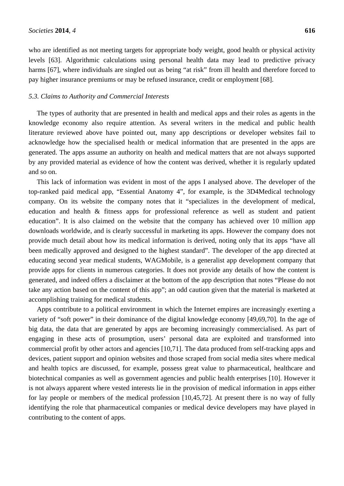who are identified as not meeting targets for appropriate body weight, good health or physical activity levels [63]. Algorithmic calculations using personal health data may lead to predictive privacy harms [67], where individuals are singled out as being "at risk" from ill health and therefore forced to pay higher insurance premiums or may be refused insurance, credit or employment [68].

## *5.3. Claims to Authority and Commercial Interests*

The types of authority that are presented in health and medical apps and their roles as agents in the knowledge economy also require attention. As several writers in the medical and public health literature reviewed above have pointed out, many app descriptions or developer websites fail to acknowledge how the specialised health or medical information that are presented in the apps are generated. The apps assume an authority on health and medical matters that are not always supported by any provided material as evidence of how the content was derived, whether it is regularly updated and so on.

This lack of information was evident in most of the apps I analysed above. The developer of the top-ranked paid medical app, "Essential Anatomy 4", for example, is the 3D4Medical technology company. On its website the company notes that it "specializes in the development of medical, education and health & fitness apps for professional reference as well as student and patient education". It is also claimed on the website that the company has achieved over 10 million app downloads worldwide, and is clearly successful in marketing its apps. However the company does not provide much detail about how its medical information is derived, noting only that its apps "have all been medically approved and designed to the highest standard". The developer of the app directed at educating second year medical students, WAGMobile, is a generalist app development company that provide apps for clients in numerous categories. It does not provide any details of how the content is generated, and indeed offers a disclaimer at the bottom of the app description that notes "Please do not take any action based on the content of this app"; an odd caution given that the material is marketed at accomplishing training for medical students.

Apps contribute to a political environment in which the Internet empires are increasingly exerting a variety of "soft power" in their dominance of the digital knowledge economy [49,69,70]. In the age of big data, the data that are generated by apps are becoming increasingly commercialised. As part of engaging in these acts of prosumption, users' personal data are exploited and transformed into commercial profit by other actors and agencies [10,71]. The data produced from self-tracking apps and devices, patient support and opinion websites and those scraped from social media sites where medical and health topics are discussed, for example, possess great value to pharmaceutical, healthcare and biotechnical companies as well as government agencies and public health enterprises [10]. However it is not always apparent where vested interests lie in the provision of medical information in apps either for lay people or members of the medical profession [10,45,72]. At present there is no way of fully identifying the role that pharmaceutical companies or medical device developers may have played in contributing to the content of apps.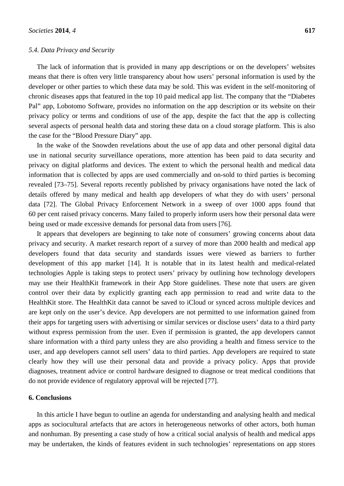## *5.4. Data Privacy and Security*

The lack of information that is provided in many app descriptions or on the developers' websites means that there is often very little transparency about how users' personal information is used by the developer or other parties to which these data may be sold. This was evident in the self-monitoring of chronic diseases apps that featured in the top 10 paid medical app list. The company that the "Diabetes Pal" app, Lobotomo Software, provides no information on the app description or its website on their privacy policy or terms and conditions of use of the app, despite the fact that the app is collecting several aspects of personal health data and storing these data on a cloud storage platform. This is also the case for the "Blood Pressure Diary" app.

In the wake of the Snowden revelations about the use of app data and other personal digital data use in national security surveillance operations, more attention has been paid to data security and privacy on digital platforms and devices. The extent to which the personal health and medical data information that is collected by apps are used commercially and on-sold to third parties is becoming revealed [73–75]. Several reports recently published by privacy organisations have noted the lack of details offered by many medical and health app developers of what they do with users' personal data [72]. The Global Privacy Enforcement Network in a sweep of over 1000 apps found that 60 per cent raised privacy concerns. Many failed to properly inform users how their personal data were being used or made excessive demands for personal data from users [76].

It appears that developers are beginning to take note of consumers' growing concerns about data privacy and security. A market research report of a survey of more than 2000 health and medical app developers found that data security and standards issues were viewed as barriers to further development of this app market [14]. It is notable that in its latest health and medical-related technologies Apple is taking steps to protect users' privacy by outlining how technology developers may use their HealthKit framework in their App Store guidelines. These note that users are given control over their data by explicitly granting each app permission to read and write data to the HealthKit store. The HealthKit data cannot be saved to iCloud or synced across multiple devices and are kept only on the user's device. App developers are not permitted to use information gained from their apps for targeting users with advertising or similar services or disclose users' data to a third party without express permission from the user. Even if permission is granted, the app developers cannot share information with a third party unless they are also providing a health and fitness service to the user, and app developers cannot sell users' data to third parties. App developers are required to state clearly how they will use their personal data and provide a privacy policy. Apps that provide diagnoses, treatment advice or control hardware designed to diagnose or treat medical conditions that do not provide evidence of regulatory approval will be rejected [77].

## **6. Conclusions**

In this article I have begun to outline an agenda for understanding and analysing health and medical apps as sociocultural artefacts that are actors in heterogeneous networks of other actors, both human and nonhuman. By presenting a case study of how a critical social analysis of health and medical apps may be undertaken, the kinds of features evident in such technologies' representations on app stores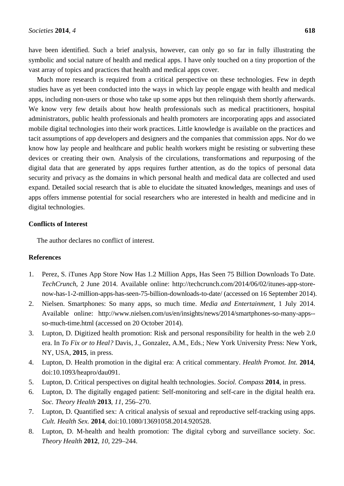have been identified. Such a brief analysis, however, can only go so far in fully illustrating the symbolic and social nature of health and medical apps. I have only touched on a tiny proportion of the vast array of topics and practices that health and medical apps cover.

Much more research is required from a critical perspective on these technologies. Few in depth studies have as yet been conducted into the ways in which lay people engage with health and medical apps, including non-users or those who take up some apps but then relinquish them shortly afterwards. We know very few details about how health professionals such as medical practitioners, hospital administrators, public health professionals and health promoters are incorporating apps and associated mobile digital technologies into their work practices. Little knowledge is available on the practices and tacit assumptions of app developers and designers and the companies that commission apps. Nor do we know how lay people and healthcare and public health workers might be resisting or subverting these devices or creating their own. Analysis of the circulations, transformations and repurposing of the digital data that are generated by apps requires further attention, as do the topics of personal data security and privacy as the domains in which personal health and medical data are collected and used expand. Detailed social research that is able to elucidate the situated knowledges, meanings and uses of apps offers immense potential for social researchers who are interested in health and medicine and in digital technologies.

# **Conflicts of Interest**

The author declares no conflict of interest.

## **References**

- 1. Perez, S. iTunes App Store Now Has 1.2 Million Apps, Has Seen 75 Billion Downloads To Date. *TechCrunch*, 2 June 2014. Available online: http://techcrunch.com/2014/06/02/itunes-app-storenow-has-1-2-million-apps-has-seen-75-billion-downloads-to-date/ (accessed on 16 September 2014).
- 2. Nielsen. Smartphones: So many apps, so much time. *Media and Entertainment*, 1 July 2014. Available online: http://www.nielsen.com/us/en/insights/news/2014/smartphones-so-many-apps- so-much-time.html (accessed on 20 October 2014).
- 3. Lupton, D. Digitized health promotion: Risk and personal responsibility for health in the web 2.0 era. In *To Fix or to Heal?* Davis, J., Gonzalez, A.M., Eds.; New York University Press: New York, NY, USA, **2015**, in press.
- 4. Lupton, D. Health promotion in the digital era: A critical commentary. *Health Promot. Int.* **2014**, doi:10.1093/heapro/dau091.
- 5. Lupton, D. Critical perspectives on digital health technologies. *Sociol. Compass* **2014**, in press.
- 6. Lupton, D. The digitally engaged patient: Self-monitoring and self-care in the digital health era. *Soc. Theory Health* **2013**, *11*, 256–270.
- 7. Lupton, D. Quantified sex: A critical analysis of sexual and reproductive self-tracking using apps. *Cult. Health Sex.* **2014**, doi:10.1080/13691058.2014.920528.
- 8. Lupton, D. M-health and health promotion: The digital cyborg and surveillance society. *Soc. Theory Health* **2012**, *10*, 229–244.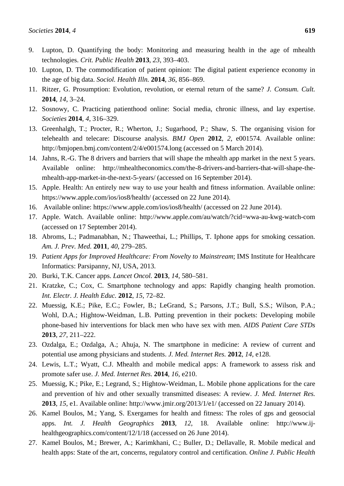- 10. Lupton, D. The commodification of patient opinion: The digital patient experience economy in the age of big data. *Sociol. Health Illn.* **2014**, *36*, 856–869.
- 11. Ritzer, G. Prosumption: Evolution, revolution, or eternal return of the same? *J. Consum. Cult.*  **2014**, *14*, 3–24.
- 12. Sosnowy, C. Practicing patienthood online: Social media, chronic illness, and lay expertise. *Societies* **2014**, *4*, 316–329.
- 13. Greenhalgh, T.; Procter, R.; Wherton, J.; Sugarhood, P.; Shaw, S. The organising vision for telehealth and telecare: Discourse analysis. *BMJ Open* **2012**, *2*, e001574. Available online: http://bmjopen.bmj.com/content/2/4/e001574.long (accessed on 5 March 2014).
- 14. Jahns, R.-G. The 8 drivers and barriers that will shape the mhealth app market in the next 5 years. Available online: http://mhealtheconomics.com/the-8-drivers-and-barriers-that-will-shape-themhealth-app-market-in-the-next-5-years/ (accessed on 16 September 2014).
- 15. Apple. Health: An entirely new way to use your health and fitness information. Available online: https://www.apple.com/ios/ios8/health/ (accessed on 22 June 2014).
- 16. Available online: https://www.apple.com/ios/ios8/health/ (accessed on 22 June 2014).
- 17. Apple. Watch. Available online: http://www.apple.com/au/watch/?cid=wwa-au-kwg-watch-com (accessed on 17 September 2014).
- 18. Abroms, L.; Padmanabhan, N.; Thaweethai, L.; Phillips, T. Iphone apps for smoking cessation. *Am. J. Prev. Med.* **2011**, *40*, 279–285.
- 19. *Patient Apps for Improved Healthcare: From Novelty to Mainstream*; IMS Institute for Healthcare Informatics: Parsipanny, NJ, USA, 2013.
- 20. Burki, T.K. Cancer apps. *Lancet Oncol.* **2013**, *14*, 580–581.
- 21. Kratzke, C.; Cox, C. Smartphone technology and apps: Rapidly changing health promotion. *Int. Electr. J. Health Educ.* **2012**, *15*, 72–82.
- 22. Muessig, K.E.; Pike, E.C.; Fowler, B.; LeGrand, S.; Parsons, J.T.; Bull, S.S.; Wilson, P.A.; Wohl, D.A.; Hightow-Weidman, L.B. Putting prevention in their pockets: Developing mobile phone-based hiv interventions for black men who have sex with men. *AIDS Patient Care STDs*  **2013**, *27*, 211–222.
- 23. Ozdalga, E.; Ozdalga, A.; Ahuja, N. The smartphone in medicine: A review of current and potential use among physicians and students. *J. Med. Internet Res.* **2012**, *14*, e128.
- 24. Lewis, L.T.; Wyatt, C.J. Mhealth and mobile medical apps: A framework to assess risk and promote safer use. *J. Med. Internet Res.* **2014**, *16*, e210.
- 25. Muessig, K.; Pike, E.; Legrand, S.; Hightow-Weidman, L. Mobile phone applications for the care and prevention of hiv and other sexually transmitted diseases: A review. *J. Med. Internet Res.* **2013**, *15*, e1. Available online: http://www.jmir.org/2013/1/e1/ (accessed on 22 January 2014).
- 26. Kamel Boulos, M.; Yang, S. Exergames for health and fitness: The roles of gps and geosocial apps. *Int. J. Health Geographics* **2013**, *12*, 18. Available online: http://www.ijhealthgeographics.com/content/12/1/18 (accessed on 26 June 2014).
- 27. Kamel Boulos, M.; Brewer, A.; Karimkhani, C.; Buller, D.; Dellavalle, R. Mobile medical and health apps: State of the art, concerns, regulatory control and certification. *Online J. Public Health*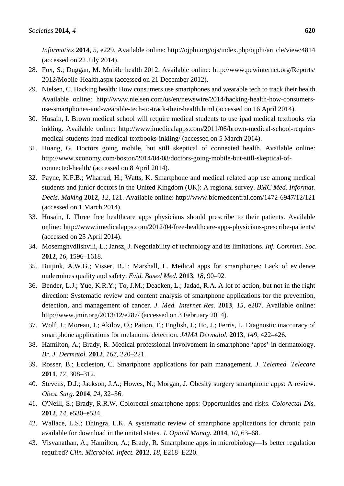*Informatics* **2014**, *5*, e229. Available online: http://ojphi.org/ojs/index.php/ojphi/article/view/4814 (accessed on 22 July 2014).

- 28. Fox, S.; Duggan, M. Mobile health 2012. Available online: http://www.pewinternet.org/Reports/ 2012/Mobile-Health.aspx (accessed on 21 December 2012).
- 29. Nielsen, C. Hacking health: How consumers use smartphones and wearable tech to track their health. Available online: http://www.nielsen.com/us/en/newswire/2014/hacking-health-how-consumersuse-smartphones-and-wearable-tech-to-track-their-health.html (accessed on 16 April 2014).
- 30. Husain, I. Brown medical school will require medical students to use ipad medical textbooks via inkling. Available online: http://www.imedicalapps.com/2011/06/brown-medical-school-requiremedical-students-ipad-medical-textbooks-inkling/ (accessed on 5 March 2014).
- 31. Huang, G. Doctors going mobile, but still skeptical of connected health. Available online: http://www.xconomy.com/boston/2014/04/08/doctors-going-mobile-but-still-skeptical-ofconnected-health/ (accessed on 8 April 2014).
- 32. Payne, K.F.B.; Wharrad, H.; Watts, K. Smartphone and medical related app use among medical students and junior doctors in the United Kingdom (UK): A regional survey. *BMC Med. Informat. Decis. Making* **2012**, *12*, 121. Available online: http://www.biomedcentral.com/1472-6947/12/121 (accessed on 1 March 2014).
- 33. Husain, I. Three free healthcare apps physicians should prescribe to their patients. Available online: http://www.imedicalapps.com/2012/04/free-healthcare-apps-physicians-prescribe-patients/ (accessed on 25 April 2014).
- 34. Mosemghvdlishvili, L.; Jansz, J. Negotiability of technology and its limitations. *Inf. Commun. Soc.*  **2012**, *16*, 1596–1618.
- 35. Buijink, A.W.G.; Visser, B.J.; Marshall, L. Medical apps for smartphones: Lack of evidence undermines quality and safety. *Evid. Based Med.* **2013**, *18*, 90–92.
- 36. Bender, L.J.; Yue, K.R.Y.; To, J.M.; Deacken, L.; Jadad, R.A. A lot of action, but not in the right direction: Systematic review and content analysis of smartphone applications for the prevention, detection, and management of cancer. *J. Med. Internet Res.* **2013**, *15*, e287. Available online: http://www.jmir.org/2013/12/e287/ (accessed on 3 February 2014).
- 37. Wolf, J.; Moreau, J.; Akilov, O.; Patton, T.; English, J.; Ho, J.; Ferris, L. Diagnostic inaccuracy of smartphone applications for melanoma detection. *JAMA Dermatol.* **2013**, *149*, 422–426.
- 38. Hamilton, A.; Brady, R. Medical professional involvement in smartphone 'apps' in dermatology. *Br. J. Dermatol.* **2012**, *167*, 220–221.
- 39. Rosser, B.; Eccleston, C. Smartphone applications for pain management. *J. Telemed. Telecare*  **2011**, *17*, 308–312.
- 40. Stevens, D.J.; Jackson, J.A.; Howes, N.; Morgan, J. Obesity surgery smartphone apps: A review. *Obes. Surg.* **2014**, *24*, 32–36.
- 41. O'Neill, S.; Brady, R.R.W. Colorectal smartphone apps: Opportunities and risks. *Colorectal Dis.*  **2012**, *14*, e530–e534.
- 42. Wallace, L.S.; Dhingra, L.K. A systematic review of smartphone applications for chronic pain available for download in the united states. *J. Opioid Manag.* **2014**, *10*, 63–68.
- 43. Visvanathan, A.; Hamilton, A.; Brady, R. Smartphone apps in microbiology—Is better regulation required? *Clin. Microbiol. Infect.* **2012**, *18*, E218–E220.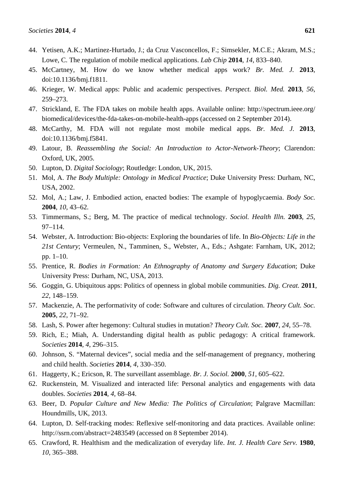- 44. Yetisen, A.K.; Martinez-Hurtado, J.; da Cruz Vasconcellos, F.; Simsekler, M.C.E.; Akram, M.S.; Lowe, C. The regulation of mobile medical applications. *Lab Chip* **2014**, *14*, 833–840.
- 45. McCartney, M. How do we know whether medical apps work? *Br. Med. J.* **2013**, doi:10.1136/bmj.f1811.
- 46. Krieger, W. Medical apps: Public and academic perspectives. *Perspect. Biol. Med.* **2013**, *56*, 259–273.
- 47. Strickland, E. The FDA takes on mobile health apps. Available online: http://spectrum.ieee.org/ biomedical/devices/the-fda-takes-on-mobile-health-apps (accessed on 2 September 2014).
- 48. McCarthy, M. FDA will not regulate most mobile medical apps. *Br. Med. J.* **2013**, doi:10.1136/bmj.f5841.
- 49. Latour, B. *Reassembling the Social: An Introduction to Actor-Network-Theory*; Clarendon: Oxford, UK, 2005.
- 50. Lupton, D. *Digital Sociology*; Routledge: London, UK, 2015.
- 51. Mol, A. *The Body Multiple: Ontology in Medical Practice*; Duke University Press: Durham, NC, USA, 2002.
- 52. Mol, A.; Law, J. Embodied action, enacted bodies: The example of hypoglycaemia. *Body Soc.* **2004**, *10*, 43–62.
- 53. Timmermans, S.; Berg, M. The practice of medical technology. *Sociol. Health Illn.* **2003**, *25*, 97–114.
- 54. Webster, A. Introduction: Bio-objects: Exploring the boundaries of life. In *Bio-Objects: Life in the 21st Century*; Vermeulen, N., Tamminen, S., Webster, A., Eds.; Ashgate: Farnham, UK, 2012; pp. 1–10.
- 55. Prentice, R. *Bodies in Formation: An Ethnography of Anatomy and Surgery Education*; Duke University Press: Durham, NC, USA, 2013.
- 56. Goggin, G. Ubiquitous apps: Politics of openness in global mobile communities. *Dig. Creat.* **2011**, *22*, 148–159.
- 57. Mackenzie, A. The performativity of code: Software and cultures of circulation. *Theory Cult. Soc.*  **2005**, *22*, 71–92.
- 58. Lash, S. Power after hegemony: Cultural studies in mutation? *Theory Cult. Soc.* **2007**, *24*, 55–78.
- 59. Rich, E.; Miah, A. Understanding digital health as public pedagogy: A critical framework. *Societies* **2014**, *4*, 296–315.
- 60. Johnson, S. "Maternal devices", social media and the self-management of pregnancy, mothering and child health. *Societies* **2014**, *4*, 330–350.
- 61. Haggerty, K.; Ericson, R. The surveillant assemblage. *Br. J. Sociol.* **2000**, *51*, 605–622.
- 62. Ruckenstein, M. Visualized and interacted life: Personal analytics and engagements with data doubles. *Societies* **2014**, *4*, 68–84.
- 63. Beer, D. *Popular Culture and New Media: The Politics of Circulation*; Palgrave Macmillan: Houndmills, UK, 2013.
- 64. Lupton, D. Self-tracking modes: Reflexive self-monitoring and data practices. Available online: http://ssrn.com/abstract=2483549 (accessed on 8 September 2014).
- 65. Crawford, R. Healthism and the medicalization of everyday life. *Int. J. Health Care Serv.* **1980**, *10*, 365–388.